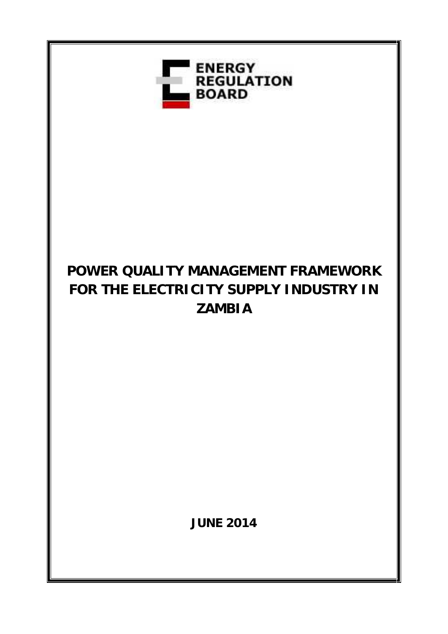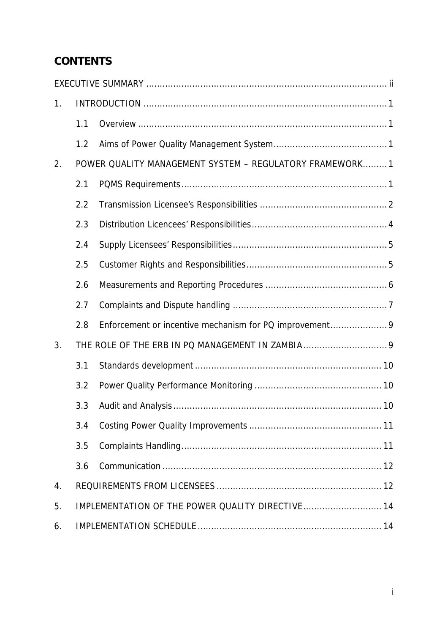# **CONTENTS**

| 1 <sub>1</sub> |                                                         |                                                        |  |
|----------------|---------------------------------------------------------|--------------------------------------------------------|--|
|                | 1.1                                                     |                                                        |  |
|                | 1.2                                                     |                                                        |  |
| 2.             | POWER QUALITY MANAGEMENT SYSTEM - REGULATORY FRAMEWORK1 |                                                        |  |
|                | 2.1                                                     |                                                        |  |
|                | 2.2                                                     |                                                        |  |
|                | 2.3                                                     |                                                        |  |
|                | 2.4                                                     |                                                        |  |
|                | 2.5                                                     |                                                        |  |
|                | 2.6                                                     |                                                        |  |
|                | 2.7                                                     |                                                        |  |
|                | 2.8                                                     | Enforcement or incentive mechanism for PQ improvement9 |  |
| 3.             |                                                         |                                                        |  |
|                | 3.1                                                     |                                                        |  |
|                | 3.2                                                     |                                                        |  |
|                | 3.3                                                     |                                                        |  |
|                | 3.4                                                     |                                                        |  |
|                | 3.5                                                     |                                                        |  |
|                | 3.6                                                     |                                                        |  |
| 4.             |                                                         |                                                        |  |
| 5.             |                                                         | IMPLEMENTATION OF THE POWER QUALITY DIRECTIVE 14       |  |
| 6.             |                                                         |                                                        |  |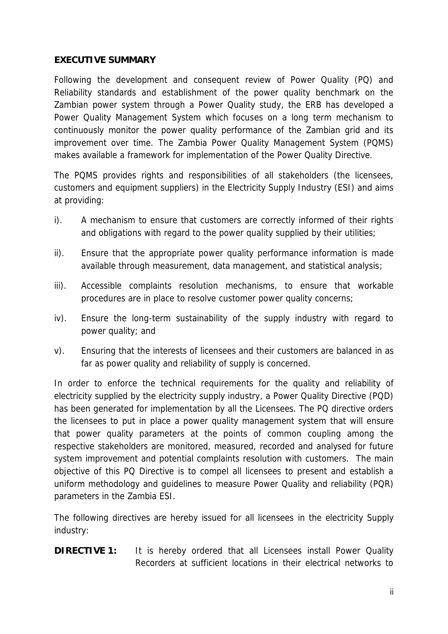### **EXECUTIVE SUMMARY**

Following the development and consequent review of Power Quality (PQ) and Reliability standards and establishment of the power quality benchmark on the Zambian power system through a Power Quality study, the ERB has developed a Power Quality Management System which focuses on a long term mechanism to continuously monitor the power quality performance of the Zambian grid and its improvement over time. The Zambia Power Quality Management System (PQMS) makes available a framework for implementation of the Power Quality Directive.

The PQMS provides rights and responsibilities of all stakeholders (the licensees, customers and equipment suppliers) in the Electricity Supply Industry (ESI) and aims at providing:

- i). A mechanism to ensure that customers are correctly informed of their rights and obligations with regard to the power quality supplied by their utilities;
- ii). Ensure that the appropriate power quality performance information is made available through measurement, data management, and statistical analysis;
- iii). Accessible complaints resolution mechanisms, to ensure that workable procedures are in place to resolve customer power quality concerns;
- iv). Ensure the long-term sustainability of the supply industry with regard to power quality; and
- v). Ensuring that the interests of licensees and their customers are balanced in as far as power quality and reliability of supply is concerned.

In order to enforce the technical requirements for the quality and reliability of electricity supplied by the electricity supply industry, a Power Quality Directive (PQD) has been generated for implementation by all the Licensees. The PQ directive orders the licensees to put in place a power quality management system that will ensure that power quality parameters at the points of common coupling among the respective stakeholders are monitored, measured, recorded and analysed for future system improvement and potential complaints resolution with customers. The main objective of this PQ Directive is to compel all licensees to present and establish a uniform methodology and guidelines to measure Power Quality and reliability (PQR) parameters in the Zambia ESI.

The following directives are hereby issued for all licensees in the electricity Supply industry:

**DIRECTIVE 1:** It is hereby ordered that all Licensees install Power Quality Recorders at sufficient locations in their electrical networks to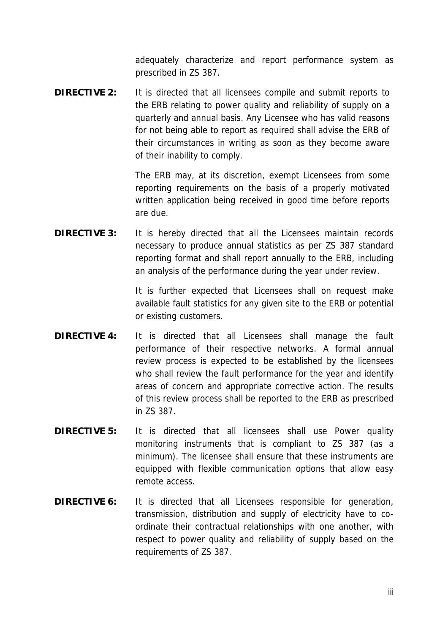adequately characterize and report performance system as prescribed in ZS 387.

**DIRECTIVE 2:** It is directed that all licensees compile and submit reports to the ERB relating to power quality and reliability of supply on a quarterly and annual basis. Any Licensee who has valid reasons for not being able to report as required shall advise the ERB of their circumstances in writing as soon as they become aware of their inability to comply.

> The ERB may, at its discretion, exempt Licensees from some reporting requirements on the basis of a properly motivated written application being received in good time before reports are due.

**DIRECTIVE 3:** It is hereby directed that all the Licensees maintain records necessary to produce annual statistics as per ZS 387 standard reporting format and shall report annually to the ERB, including an analysis of the performance during the year under review.

> It is further expected that Licensees shall on request make available fault statistics for any given site to the ERB or potential or existing customers.

- **DIRECTIVE 4:** It is directed that all Licensees shall manage the fault performance of their respective networks. A formal annual review process is expected to be established by the licensees who shall review the fault performance for the year and identify areas of concern and appropriate corrective action. The results of this review process shall be reported to the ERB as prescribed in ZS 387.
- **DIRECTIVE 5:** It is directed that all licensees shall use Power quality monitoring instruments that is compliant to ZS 387 (as a minimum). The licensee shall ensure that these instruments are equipped with flexible communication options that allow easy remote access.
- **DIRECTIVE 6:** It is directed that all Licensees responsible for generation, transmission, distribution and supply of electricity have to co ordinate their contractual relationships with one another, with respect to power quality and reliability of supply based on the requirements of ZS 387.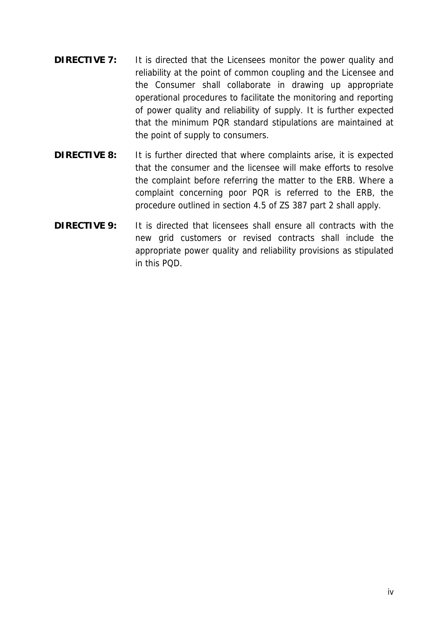- **DIRECTIVE 7:** It is directed that the Licensees monitor the power quality and reliability at the point of common coupling and the Licensee and the Consumer shall collaborate in drawing up appropriate operational procedures to facilitate the monitoring and reporting of power quality and reliability of supply. It is further expected that the minimum PQR standard stipulations are maintained at the point of supply to consumers.
- **DIRECTIVE 8:** It is further directed that where complaints arise, it is expected that the consumer and the licensee will make efforts to resolve the complaint before referring the matter to the ERB. Where a complaint concerning poor PQR is referred to the ERB, the procedure outlined in section 4.5 of ZS 387 part 2 shall apply.
- **DIRECTIVE 9:** It is directed that licensees shall ensure all contracts with the new grid customers or revised contracts shall include the appropriate power quality and reliability provisions as stipulated in this PQD.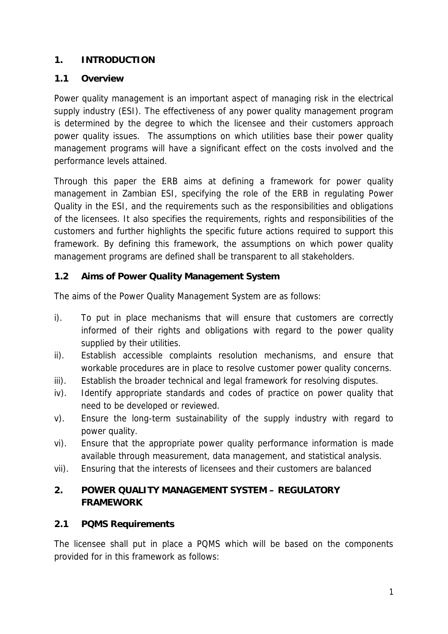### **1. INTRODUCTION**

#### **1.1 Overview**

Power quality management is an important aspect of managing risk in the electrical supply industry (ESI). The effectiveness of any power quality management program is determined by the degree to which the licensee and their customers approach power quality issues. The assumptions on which utilities base their power quality management programs will have a significant effect on the costs involved and the performance levels attained.

Through this paper the ERB aims at defining a framework for power quality management in Zambian ESI, specifying the role of the ERB in regulating Power Quality in the ESI, and the requirements such as the responsibilities and obligations of the licensees. It also specifies the requirements, rights and responsibilities of the customers and further highlights the specific future actions required to support this framework. By defining this framework, the assumptions on which power quality management programs are defined shall be transparent to all stakeholders.

### **1.2 Aims of Power Quality Management System**

The aims of the Power Quality Management System are as follows:

- i). To put in place mechanisms that will ensure that customers are correctly informed of their rights and obligations with regard to the power quality supplied by their utilities.
- ii). Establish accessible complaints resolution mechanisms, and ensure that workable procedures are in place to resolve customer power quality concerns.
- iii). Establish the broader technical and legal framework for resolving disputes.
- iv). Identify appropriate standards and codes of practice on power quality that need to be developed or reviewed.
- v). Ensure the long-term sustainability of the supply industry with regard to power quality.
- vi). Ensure that the appropriate power quality performance information is made available through measurement, data management, and statistical analysis.
- vii). Ensuring that the interests of licensees and their customers are balanced

### **2. POWER QUALITY MANAGEMENT SYSTEM – REGULATORY FRAMEWORK**

**2.1 PQMS Requirements**

The licensee shall put in place a PQMS which will be based on the components provided for in this framework as follows: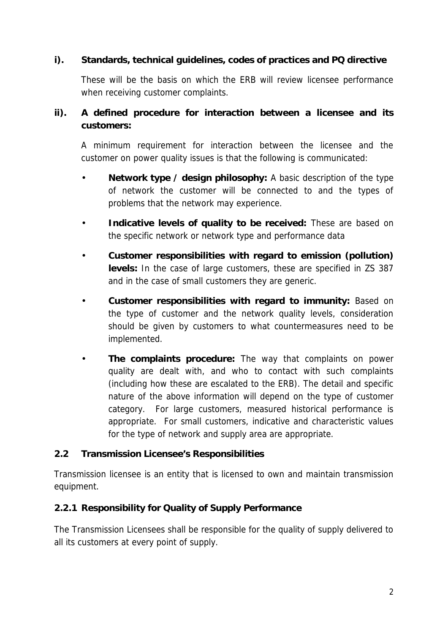**i). Standards, technical guidelines, codes of practices and PQ directive**

These will be the basis on which the ERB will review licensee performance when receiving customer complaints.

**ii). A defined procedure for interaction between a licensee and its customers:**

A minimum requirement for interaction between the licensee and the customer on power quality issues is that the following is communicated:

- **Network type / design philosophy:** A basic description of the type of network the customer will be connected to and the types of problems that the network may experience.
- **Indicative levels of quality to be received:** These are based on the specific network or network type and performance data
- **Customer responsibilities with regard to emission (pollution) levels:** In the case of large customers, these are specified in ZS 387 and in the case of small customers they are generic.
- **Customer responsibilities with regard to immunity:** Based on the type of customer and the network quality levels, consideration should be given by customers to what countermeasures need to be implemented.
- **The complaints procedure:** The way that complaints on power quality are dealt with, and who to contact with such complaints (including how these are escalated to the ERB). The detail and specific nature of the above information will depend on the type of customer category. For large customers, measured historical performance is appropriate. For small customers, indicative and characteristic values for the type of network and supply area are appropriate.

#### **2.2 Transmission Licensee's Responsibilities**

Transmission licensee is an entity that is licensed to own and maintain transmission equipment.

#### **2.2.1 Responsibility for Quality of Supply Performance**

The Transmission Licensees shall be responsible for the quality of supply delivered to all its customers at every point of supply.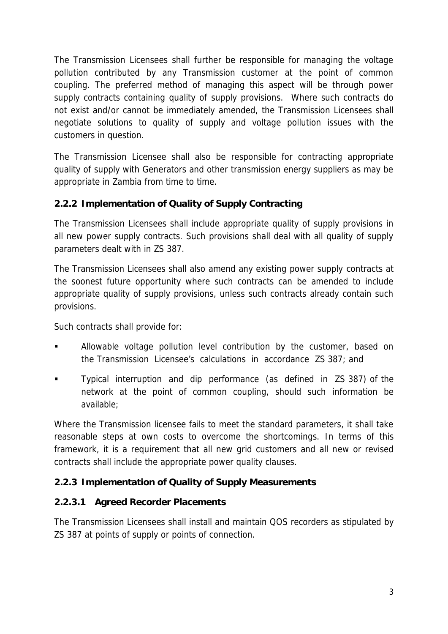The Transmission Licensees shall further be responsible for managing the voltage pollution contributed by any Transmission customer at the point of common coupling. The preferred method of managing this aspect will be through power supply contracts containing quality of supply provisions. Where such contracts do not exist and/or cannot be immediately amended, the Transmission Licensees shall negotiate solutions to quality of supply and voltage pollution issues with the customers in question.

The Transmission Licensee shall also be responsible for contracting appropriate quality of supply with Generators and other transmission energy suppliers as may be appropriate in Zambia from time to time.

# **2.2.2 Implementation of Quality of Supply Contracting**

The Transmission Licensees shall include appropriate quality of supply provisions in all new power supply contracts. Such provisions shall deal with all quality of supply parameters dealt with in ZS 387.

The Transmission Licensees shall also amend any existing power supply contracts at the soonest future opportunity where such contracts can be amended to include appropriate quality of supply provisions, unless such contracts already contain such provisions.

Such contracts shall provide for:

- Allowable voltage pollution level contribution by the customer, based on the Transmission Licensee's calculations in accordance ZS 387; and
- Typical interruption and dip performance (as defined in ZS 387) of the network at the point of common coupling, should such information be available;

Where the Transmission licensee fails to meet the standard parameters, it shall take reasonable steps at own costs to overcome the shortcomings. In terms of this framework, it is a requirement that all new grid customers and all new or revised contracts shall include the appropriate power quality clauses.

# **2.2.3 Implementation of Quality of Supply Measurements**

# **2.2.3.1 Agreed Recorder Placements**

The Transmission Licensees shall install and maintain QOS recorders as stipulated by ZS 387 at points of supply or points of connection.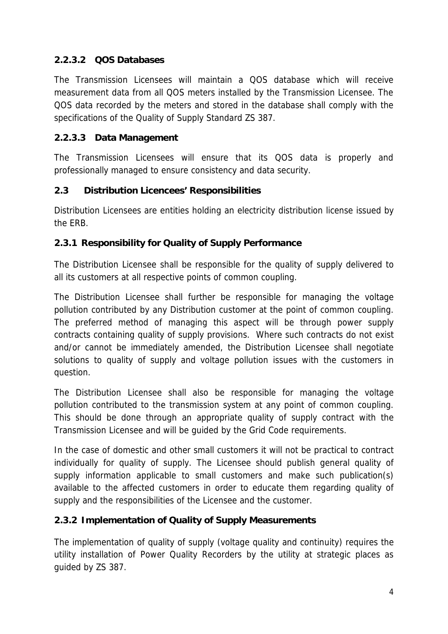# **2.2.3.2 QOS Databases**

The Transmission Licensees will maintain a QOS database which will receive measurement data from all QOS meters installed by the Transmission Licensee. The QOS data recorded by the meters and stored in the database shall comply with the specifications of the Quality of Supply Standard ZS 387.

# **2.2.3.3 Data Management**

The Transmission Licensees will ensure that its QOS data is properly and professionally managed to ensure consistency and data security.

### **2.3 Distribution Licencees' Responsibilities**

Distribution Licensees are entities holding an electricity distribution license issued by the ERB.

### **2.3.1 Responsibility for Quality of Supply Performance**

The Distribution Licensee shall be responsible for the quality of supply delivered to all its customers at all respective points of common coupling.

The Distribution Licensee shall further be responsible for managing the voltage pollution contributed by any Distribution customer at the point of common coupling. The preferred method of managing this aspect will be through power supply contracts containing quality of supply provisions. Where such contracts do not exist and/or cannot be immediately amended, the Distribution Licensee shall negotiate solutions to quality of supply and voltage pollution issues with the customers in question.

The Distribution Licensee shall also be responsible for managing the voltage pollution contributed to the transmission system at any point of common coupling. This should be done through an appropriate quality of supply contract with the Transmission Licensee and will be guided by the Grid Code requirements.

In the case of domestic and other small customers it will not be practical to contract individually for quality of supply. The Licensee should publish general quality of supply information applicable to small customers and make such publication(s) available to the affected customers in order to educate them regarding quality of supply and the responsibilities of the Licensee and the customer.

# **2.3.2 Implementation of Quality of Supply Measurements**

The implementation of quality of supply (voltage quality and continuity) requires the utility installation of Power Quality Recorders by the utility at strategic places as guided by ZS 387.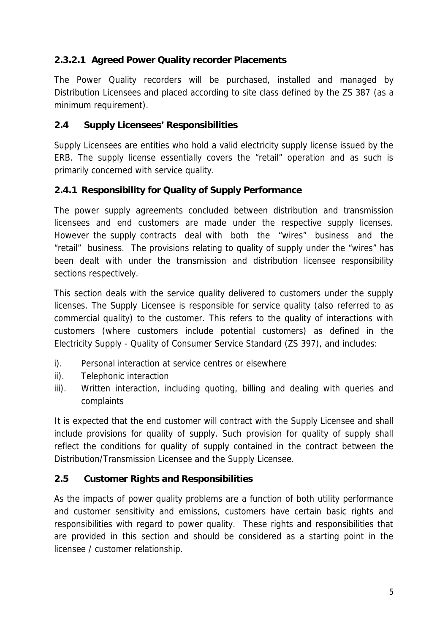# **2.3.2.1 Agreed Power Quality recorder Placements**

The Power Quality recorders will be purchased, installed and managed by Distribution Licensees and placed according to site class defined by the ZS 387 (as a minimum requirement).

### **2.4 Supply Licensees' Responsibilities**

Supply Licensees are entities who hold a valid electricity supply license issued by the ERB. The supply license essentially covers the "retail" operation and as such is primarily concerned with service quality.

### **2.4.1 Responsibility for Quality of Supply Performance**

The power supply agreements concluded between distribution and transmission licensees and end customers are made under the respective supply licenses. However the supply contracts deal with both the "wires" business and the "retail" business. The provisions relating to quality of supply under the "wires" has been dealt with under the transmission and distribution licensee responsibility sections respectively.

This section deals with the service quality delivered to customers under the supply licenses. The Supply Licensee is responsible for service quality (also referred to as commercial quality) to the customer. This refers to the quality of interactions with customers (where customers include potential customers) as defined in the Electricity Supply - Quality of Consumer Service Standard (ZS 397), and includes:

- i). Personal interaction at service centres or elsewhere
- ii). Telephonic interaction
- iii). Written interaction, including quoting, billing and dealing with queries and complaints

It is expected that the end customer will contract with the Supply Licensee and shall include provisions for quality of supply. Such provision for quality of supply shall reflect the conditions for quality of supply contained in the contract between the Distribution/Transmission Licensee and the Supply Licensee.

#### **2.5 Customer Rights and Responsibilities**

As the impacts of power quality problems are a function of both utility performance and customer sensitivity and emissions, customers have certain basic rights and responsibilities with regard to power quality. These rights and responsibilities that are provided in this section and should be considered as a starting point in the licensee / customer relationship.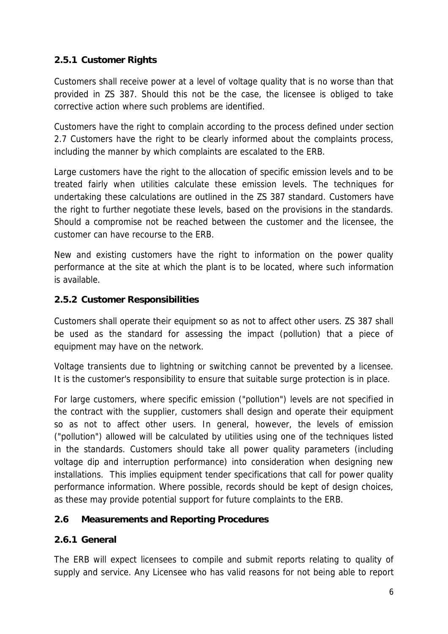### **2.5.1 Customer Rights**

Customers shall receive power at a level of voltage quality that is no worse than that provided in ZS 387. Should this not be the case, the licensee is obliged to take corrective action where such problems are identified.

Customers have the right to complain according to the process defined under section 2.7 Customers have the right to be clearly informed about the complaints process, including the manner by which complaints are escalated to the ERB.

Large customers have the right to the allocation of specific emission levels and to be treated fairly when utilities calculate these emission levels. The techniques for undertaking these calculations are outlined in the ZS 387 standard. Customers have the right to further negotiate these levels, based on the provisions in the standards. Should a compromise not be reached between the customer and the licensee, the customer can have recourse to the ERB.

New and existing customers have the right to information on the power quality performance at the site at which the plant is to be located, where such information is available.

#### **2.5.2 Customer Responsibilities**

Customers shall operate their equipment so as not to affect other users. ZS 387 shall be used as the standard for assessing the impact (pollution) that a piece of equipment may have on the network.

Voltage transients due to lightning or switching cannot be prevented by a licensee. It is the customer's responsibility to ensure that suitable surge protection is in place.

For large customers, where specific emission ("pollution") levels are not specified in the contract with the supplier, customers shall design and operate their equipment so as not to affect other users. In general, however, the levels of emission ("pollution") allowed will be calculated by utilities using one of the techniques listed in the standards. Customers should take all power quality parameters (including voltage dip and interruption performance) into consideration when designing new installations. This implies equipment tender specifications that call for power quality performance information. Where possible, records should be kept of design choices, as these may provide potential support for future complaints to the ERB.

#### **2.6 Measurements and Reporting Procedures**

#### **2.6.1 General**

The ERB will expect licensees to compile and submit reports relating to quality of supply and service. Any Licensee who has valid reasons for not being able to report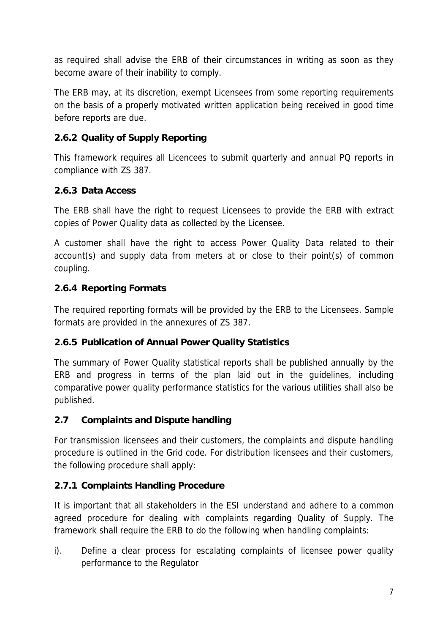as required shall advise the ERB of their circumstances in writing as soon as they become aware of their inability to comply.

The ERB may, at its discretion, exempt Licensees from some reporting requirements on the basis of a properly motivated written application being received in good time before reports are due.

# **2.6.2 Quality of Supply Reporting**

This framework requires all Licencees to submit quarterly and annual PQ reports in compliance with ZS 387.

### **2.6.3 Data Access**

The ERB shall have the right to request Licensees to provide the ERB with extract copies of Power Quality data as collected by the Licensee.

A customer shall have the right to access Power Quality Data related to their account(s) and supply data from meters at or close to their point(s) of common coupling.

### **2.6.4 Reporting Formats**

The required reporting formats will be provided by the ERB to the Licensees. Sample formats are provided in the annexures of ZS 387.

# **2.6.5 Publication of Annual Power Quality Statistics**

The summary of Power Quality statistical reports shall be published annually by the ERB and progress in terms of the plan laid out in the guidelines, including comparative power quality performance statistics for the various utilities shall also be published.

#### **2.7 Complaints and Dispute handling**

For transmission licensees and their customers, the complaints and dispute handling procedure is outlined in the Grid code. For distribution licensees and their customers, the following procedure shall apply:

# **2.7.1 Complaints Handling Procedure**

It is important that all stakeholders in the ESI understand and adhere to a common agreed procedure for dealing with complaints regarding Quality of Supply. The framework shall require the ERB to do the following when handling complaints:

i). Define a clear process for escalating complaints of licensee power quality performance to the Regulator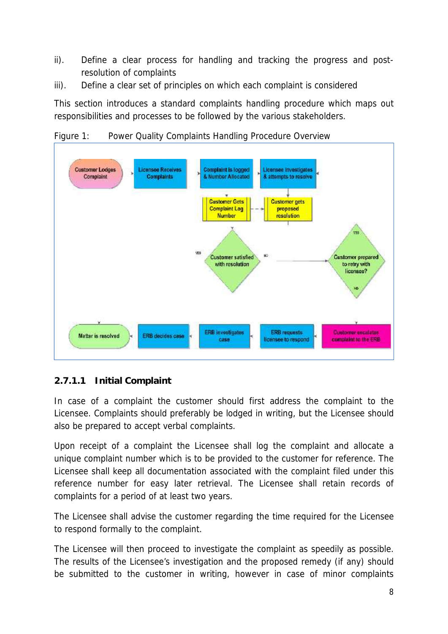- ii). Define a clear process for handling and tracking the progress and postresolution of complaints
- iii). Define a clear set of principles on which each complaint is considered

This section introduces a standard complaints handling procedure which maps out responsibilities and processes to be followed by the various stakeholders.

Figure 1: Power Quality Complaints Handling Procedure Overview



# **2.7.1.1 Initial Complaint**

In case of a complaint the customer should first address the complaint to the Licensee. Complaints should preferably be lodged in writing, but the Licensee should also be prepared to accept verbal complaints.

Upon receipt of a complaint the Licensee shall log the complaint and allocate a unique complaint number which is to be provided to the customer for reference. The Licensee shall keep all documentation associated with the complaint filed under this reference number for easy later retrieval. The Licensee shall retain records of complaints for a period of at least two years.

The Licensee shall advise the customer regarding the time required for the Licensee to respond formally to the complaint.

The Licensee will then proceed to investigate the complaint as speedily as possible. The results of the Licensee's investigation and the proposed remedy (if any) should be submitted to the customer in writing, however in case of minor complaints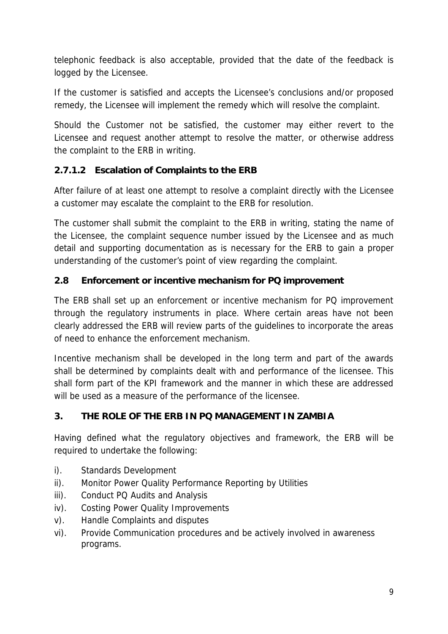telephonic feedback is also acceptable, provided that the date of the feedback is logged by the Licensee.

If the customer is satisfied and accepts the Licensee's conclusions and/or proposed remedy, the Licensee will implement the remedy which will resolve the complaint.

Should the Customer not be satisfied, the customer may either revert to the Licensee and request another attempt to resolve the matter, or otherwise address the complaint to the ERB in writing.

# **2.7.1.2 Escalation of Complaints to the ERB**

After failure of at least one attempt to resolve a complaint directly with the Licensee a customer may escalate the complaint to the ERB for resolution.

The customer shall submit the complaint to the ERB in writing, stating the name of the Licensee, the complaint sequence number issued by the Licensee and as much detail and supporting documentation as is necessary for the ERB to gain a proper understanding of the customer's point of view regarding the complaint.

# **2.8 Enforcement or incentive mechanism for PQ improvement**

The ERB shall set up an enforcement or incentive mechanism for PQ improvement through the regulatory instruments in place. Where certain areas have not been clearly addressed the ERB will review parts of the guidelines to incorporate the areas of need to enhance the enforcement mechanism.

Incentive mechanism shall be developed in the long term and part of the awards shall be determined by complaints dealt with and performance of the licensee. This shall form part of the KPI framework and the manner in which these are addressed will be used as a measure of the performance of the licensee.

# **3. THE ROLE OF THE ERB IN PQ MANAGEMENT IN ZAMBIA**

Having defined what the regulatory objectives and framework, the ERB will be required to undertake the following:

- i). Standards Development
- ii). Monitor Power Quality Performance Reporting by Utilities
- iii). Conduct PQ Audits and Analysis
- iv). Costing Power Quality Improvements
- v). Handle Complaints and disputes
- vi). Provide Communication procedures and be actively involved in awareness programs.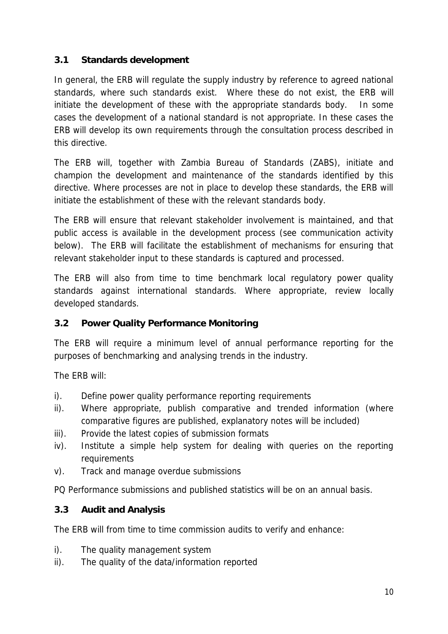### **3.1 Standards development**

In general, the ERB will regulate the supply industry by reference to agreed national standards, where such standards exist. Where these do not exist, the ERB will initiate the development of these with the appropriate standards body. In some cases the development of a national standard is not appropriate. In these cases the ERB will develop its own requirements through the consultation process described in this directive.

The ERB will, together with Zambia Bureau of Standards (ZABS), initiate and champion the development and maintenance of the standards identified by this directive. Where processes are not in place to develop these standards, the ERB will initiate the establishment of these with the relevant standards body.

The ERB will ensure that relevant stakeholder involvement is maintained, and that public access is available in the development process (see communication activity below). The ERB will facilitate the establishment of mechanisms for ensuring that relevant stakeholder input to these standards is captured and processed.

The ERB will also from time to time benchmark local regulatory power quality standards against international standards. Where appropriate, review locally developed standards.

#### **3.2 Power Quality Performance Monitoring**

The ERB will require a minimum level of annual performance reporting for the purposes of benchmarking and analysing trends in the industry.

The ERB will:

- i). Define power quality performance reporting requirements
- ii). Where appropriate, publish comparative and trended information (where comparative figures are published, explanatory notes will be included)
- iii). Provide the latest copies of submission formats
- iv). Institute a simple help system for dealing with queries on the reporting requirements
- v). Track and manage overdue submissions

PQ Performance submissions and published statistics will be on an annual basis.

**3.3 Audit and Analysis**

The ERB will from time to time commission audits to verify and enhance:

- i). The quality management system
- ii). The quality of the data/information reported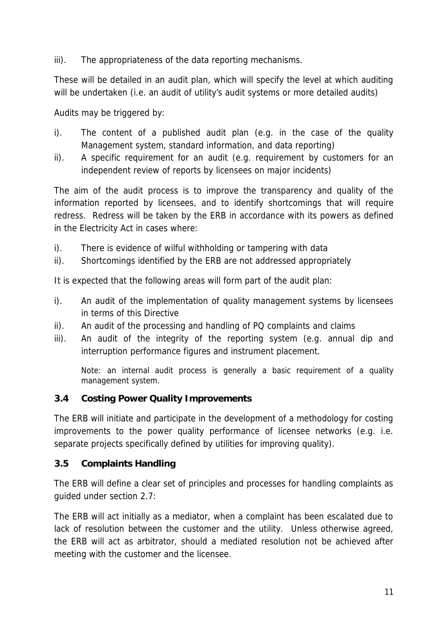iii). The appropriateness of the data reporting mechanisms.

These will be detailed in an audit plan, which will specify the level at which auditing will be undertaken (i.e. an audit of utility's audit systems or more detailed audits)

Audits may be triggered by:

- i). The content of a published audit plan (e.g. in the case of the quality Management system, standard information, and data reporting)
- ii). A specific requirement for an audit (e.g. requirement by customers for an independent review of reports by licensees on major incidents)

The aim of the audit process is to improve the transparency and quality of the information reported by licensees, and to identify shortcomings that will require redress. Redress will be taken by the ERB in accordance with its powers as defined in the Electricity Act in cases where:

- i). There is evidence of wilful withholding or tampering with data
- ii). Shortcomings identified by the ERB are not addressed appropriately

It is expected that the following areas will form part of the audit plan:

- i). An audit of the implementation of quality management systems by licensees in terms of this Directive
- ii). An audit of the processing and handling of PQ complaints and claims
- iii). An audit of the integrity of the reporting system (e.g. annual dip and interruption performance figures and instrument placement.

Note: an internal audit process is generally a basic requirement of a quality management system.

#### **3.4 Costing Power Quality Improvements**

The ERB will initiate and participate in the development of a methodology for costing improvements to the power quality performance of licensee networks (e.g. i.e. separate projects specifically defined by utilities for improving quality).

#### **3.5 Complaints Handling**

The ERB will define a clear set of principles and processes for handling complaints as guided under section 2.7:

The ERB will act initially as a mediator, when a complaint has been escalated due to lack of resolution between the customer and the utility. Unless otherwise agreed, the ERB will act as arbitrator, should a mediated resolution not be achieved after meeting with the customer and the licensee.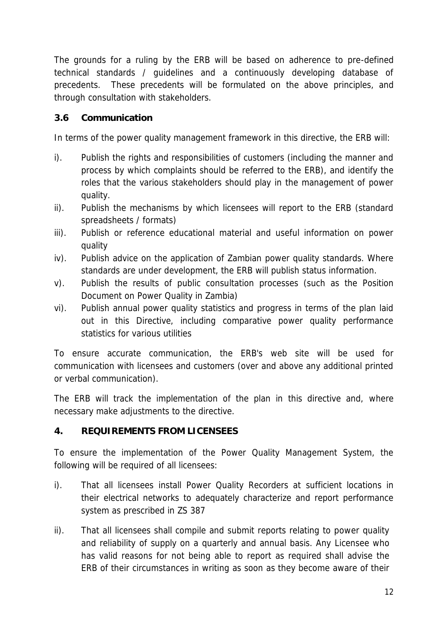The grounds for a ruling by the ERB will be based on adherence to pre-defined technical standards / guidelines and a continuously developing database of precedents. These precedents will be formulated on the above principles, and through consultation with stakeholders.

### **3.6 Communication**

In terms of the power quality management framework in this directive, the ERB will:

- i). Publish the rights and responsibilities of customers (including the manner and process by which complaints should be referred to the ERB), and identify the roles that the various stakeholders should play in the management of power quality.
- ii). Publish the mechanisms by which licensees will report to the ERB (standard spreadsheets / formats)
- iii). Publish or reference educational material and useful information on power quality
- iv). Publish advice on the application of Zambian power quality standards. Where standards are under development, the ERB will publish status information.
- v). Publish the results of public consultation processes (such as the Position Document on Power Quality in Zambia)
- vi). Publish annual power quality statistics and progress in terms of the plan laid out in this Directive, including comparative power quality performance statistics for various utilities

To ensure accurate communication, the ERB's web site will be used for communication with licensees and customers (over and above any additional printed or verbal communication).

The ERB will track the implementation of the plan in this directive and, where necessary make adjustments to the directive.

### **4. REQUIREMENTS FROM LICENSEES**

To ensure the implementation of the Power Quality Management System, the following will be required of all licensees:

- i). That all licensees install Power Quality Recorders at sufficient locations in their electrical networks to adequately characterize and report performance system as prescribed in ZS 387
- ii). That all licensees shall compile and submit reports relating to power quality and reliability of supply on a quarterly and annual basis. Any Licensee who has valid reasons for not being able to report as required shall advise the ERB of their circumstances in writing as soon as they become aware of their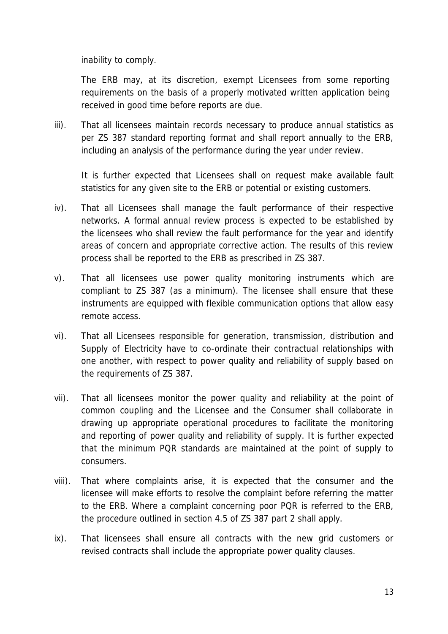inability to comply.

The ERB may, at its discretion, exempt Licensees from some reporting requirements on the basis of a properly motivated written application being received in good time before reports are due.

iii). That all licensees maintain records necessary to produce annual statistics as per ZS 387 standard reporting format and shall report annually to the ERB, including an analysis of the performance during the year under review.

It is further expected that Licensees shall on request make available fault statistics for any given site to the ERB or potential or existing customers.

- iv). That all Licensees shall manage the fault performance of their respective networks. A formal annual review process is expected to be established by the licensees who shall review the fault performance for the year and identify areas of concern and appropriate corrective action. The results of this review process shall be reported to the ERB as prescribed in ZS 387.
- v). That all licensees use power quality monitoring instruments which are compliant to ZS 387 (as a minimum). The licensee shall ensure that these instruments are equipped with flexible communication options that allow easy remote access.
- vi). That all Licensees responsible for generation, transmission, distribution and Supply of Electricity have to co-ordinate their contractual relationships with one another, with respect to power quality and reliability of supply based on the requirements of ZS 387.
- vii). That all licensees monitor the power quality and reliability at the point of common coupling and the Licensee and the Consumer shall collaborate in drawing up appropriate operational procedures to facilitate the monitoring and reporting of power quality and reliability of supply. It is further expected that the minimum PQR standards are maintained at the point of supply to consumers.
- viii). That where complaints arise, it is expected that the consumer and the licensee will make efforts to resolve the complaint before referring the matter to the ERB. Where a complaint concerning poor PQR is referred to the ERB, the procedure outlined in section 4.5 of ZS 387 part 2 shall apply.
- ix). That licensees shall ensure all contracts with the new grid customers or revised contracts shall include the appropriate power quality clauses.